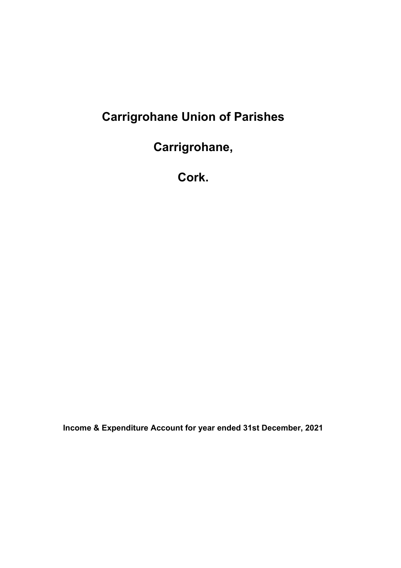# **Carrigrohane Union of Parishes**

**Carrigrohane,**

**Cork.**

**Income & Expenditure Account for year ended 31st December, 2021**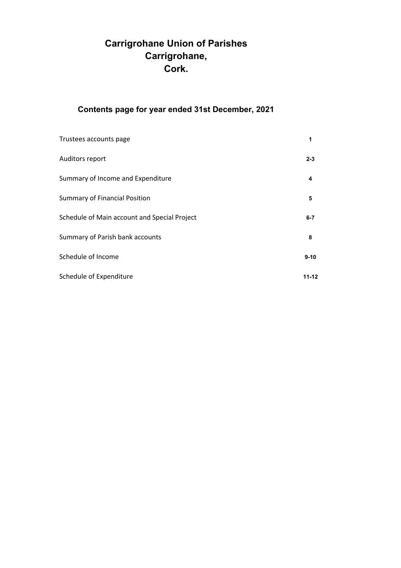# **Carrigrohane Union of Parishes Carrigrohane, Cork.**

## **Contents page for year ended 31st December, 2021**

| Trustees accounts page                       | 1         |
|----------------------------------------------|-----------|
| Auditors report                              | $2 - 3$   |
| Summary of Income and Expenditure            | 4         |
| <b>Summary of Financial Position</b>         | 5         |
| Schedule of Main account and Special Project | $6 - 7$   |
| Summary of Parish bank accounts              | 8         |
| Schedule of Income                           | $9 - 10$  |
| Schedule of Expenditure                      | $11 - 12$ |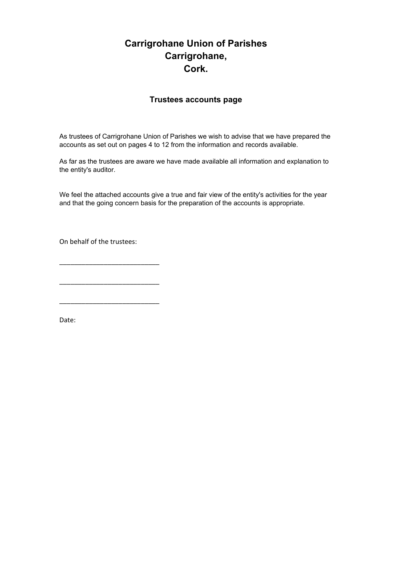### **Carrigrohane Union of Parishes Carrigrohane, Cork.**

#### **Trustees accounts page**

As trustees of Carrigrohane Union of Parishes we wish to advise that we have prepared the accounts as set out on pages 4 to 12 from the information and records available.

As far as the trustees are aware we have made available all information and explanation to the entity's auditor.

We feel the attached accounts give a true and fair view of the entity's activities for the year and that the going concern basis for the preparation of the accounts is appropriate.

On behalf of the trustees:

\_\_\_\_\_\_\_\_\_\_\_\_\_\_\_\_\_\_\_\_\_\_\_\_\_\_\_

\_\_\_\_\_\_\_\_\_\_\_\_\_\_\_\_\_\_\_\_\_\_\_\_\_\_\_

\_\_\_\_\_\_\_\_\_\_\_\_\_\_\_\_\_\_\_\_\_\_\_\_\_\_\_

Date: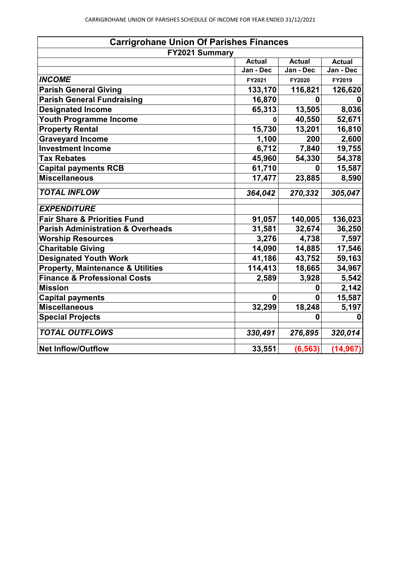| <b>Carrigrohane Union Of Parishes Finances</b> |               |               |               |
|------------------------------------------------|---------------|---------------|---------------|
| FY2021 Summary                                 |               |               |               |
|                                                | <b>Actual</b> | <b>Actual</b> | <b>Actual</b> |
|                                                | Jan - Dec     | Jan - Dec     | Jan - Dec     |
| <b>INCOME</b>                                  | FY2021        | FY2020        | FY2019        |
| <b>Parish General Giving</b>                   | 133,170       | 116,821       | 126,620       |
| <b>Parish General Fundraising</b>              | 16,870        | $\mathbf{0}$  | O             |
| <b>Designated Income</b>                       | 65,313        | 13,505        | 8,036         |
| <b>Youth Programme Income</b>                  | 0             | 40,550        | 52,671        |
| <b>Property Rental</b>                         | 15,730        | 13,201        | 16,810        |
| <b>Graveyard Income</b>                        | 1,100         | 200           | 2,600         |
| <b>Investment Income</b>                       | 6,712         | 7,840         | 19,755        |
| <b>Tax Rebates</b>                             | 45,960        | 54,330        | 54,378        |
| <b>Capital payments RCB</b>                    | 61,710        | 0             | 15,587        |
| <b>Miscellaneous</b>                           | 17,477        | 23,885        | 8,590         |
| <b>TOTAL INFLOW</b>                            | 364,042       | 270,332       | 305,047       |
| <b>EXPENDITURE</b>                             |               |               |               |
| <b>Fair Share &amp; Priorities Fund</b>        | 91,057        | 140,005       | 136,023       |
| <b>Parish Administration &amp; Overheads</b>   | 31,581        | 32,674        | 36,250        |
| <b>Worship Resources</b>                       | 3,276         | 4,738         | 7,597         |
| <b>Charitable Giving</b>                       | 14,090        | 14,885        | 17,546        |
| <b>Designated Youth Work</b>                   | 41,186        | 43,752        | 59,163        |
| <b>Property, Maintenance &amp; Utilities</b>   | 114,413       | 18,665        | 34,967        |
| <b>Finance &amp; Professional Costs</b>        | 2,589         | 3,928         | 5,542         |
| <b>Mission</b>                                 |               | 0             | 2,142         |
| <b>Capital payments</b>                        | 0             | U             | 15,587        |
| <b>Miscellaneous</b>                           | 32,299        | 18,248        | 5,197         |
| <b>Special Projects</b>                        |               | 0             | 0             |
| <b>TOTAL OUTFLOWS</b>                          | 330,491       | 276,895       | 320,014       |
| <b>Net Inflow/Outflow</b>                      | 33,551        | (6, 563)      | (14, 967)     |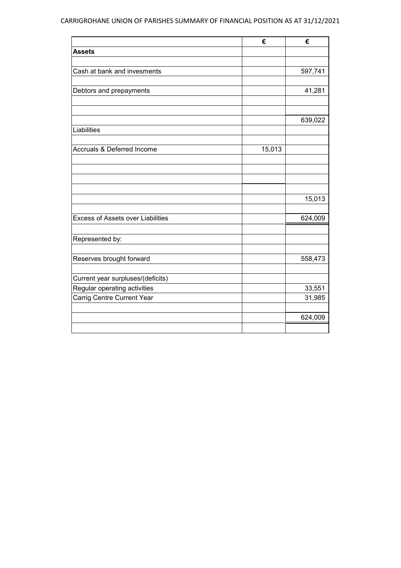### CARRIGROHANE UNION OF PARISHES SUMMARY OF FINANCIAL POSITION AS AT 31/12/2021

|                                          | €      | €       |
|------------------------------------------|--------|---------|
| <b>Assets</b>                            |        |         |
|                                          |        |         |
| Cash at bank and invesments              |        | 597,741 |
|                                          |        |         |
| Debtors and prepayments                  |        | 41,281  |
|                                          |        |         |
|                                          |        |         |
|                                          |        | 639,022 |
| Liabilities                              |        |         |
| <b>Accruals &amp; Deferred Income</b>    | 15,013 |         |
|                                          |        |         |
|                                          |        |         |
|                                          |        |         |
|                                          |        |         |
|                                          |        | 15,013  |
|                                          |        |         |
| <b>Excess of Assets over Liabilities</b> |        | 624,009 |
|                                          |        |         |
| Represented by:                          |        |         |
|                                          |        |         |
| Reserves brought forward                 |        | 558,473 |
|                                          |        |         |
| Current year surpluses/(deficits)        |        |         |
| Regular operating activities             |        | 33,551  |
| Carrig Centre Current Year               |        | 31,985  |
|                                          |        |         |
|                                          |        | 624,009 |
|                                          |        |         |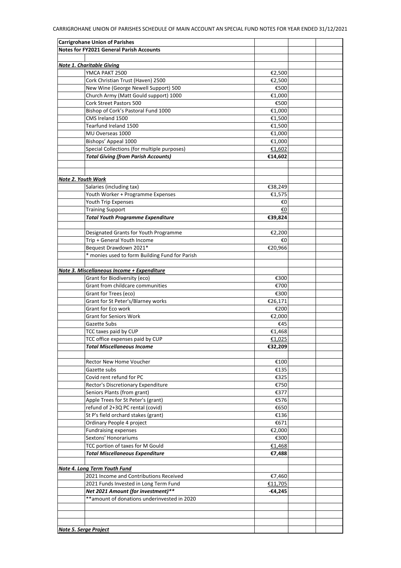| <b>Carrigrohane Union of Parishes</b>                    |                 |  |
|----------------------------------------------------------|-----------------|--|
| <b>Notes for FY2021 General Parish Accounts</b>          |                 |  |
|                                                          |                 |  |
| <b>Note 1. Charitable Giving</b>                         |                 |  |
| YMCA PAKT 2500                                           | €2,500          |  |
| Cork Christian Trust (Haven) 2500                        | €2,500          |  |
| New Wine (George Newell Support) 500                     | €500            |  |
| Church Army (Matt Gould support) 1000                    | €1,000          |  |
| Cork Street Pastors 500                                  | €500            |  |
| Bishop of Cork's Pastoral Fund 1000                      | €1,000          |  |
| CMS Ireland 1500                                         | €1,500          |  |
| Tearfund Ireland 1500                                    | €1,500          |  |
| MU Overseas 1000                                         | €1,000          |  |
| Bishops' Appeal 1000                                     | €1,000          |  |
| Special Collections (for multiple purposes)              | €1,602          |  |
| <b>Total Giving (from Parish Accounts)</b>               | €14,602         |  |
|                                                          |                 |  |
|                                                          |                 |  |
| Note 2. Youth Work                                       |                 |  |
| Salaries (including tax)                                 | €38,249         |  |
| Youth Worker + Programme Expenses                        | €1,575          |  |
| Youth Trip Expenses                                      | €0              |  |
| <b>Training Support</b>                                  | €0              |  |
| <b>Total Youth Programme Expenditure</b>                 | €39,824         |  |
|                                                          |                 |  |
| Designated Grants for Youth Programme                    | €2,200          |  |
| Trip + General Youth Income                              | €0              |  |
| Bequest Drawdown 2021*                                   | €20,966         |  |
| * monies used to form Building Fund for Parish           |                 |  |
|                                                          |                 |  |
| Note 3. Miscellaneous Income + Expenditure               |                 |  |
| Grant for Biodiversity (eco)                             | €300            |  |
| Grant from childcare communities                         | €700            |  |
| Grant for Trees (eco)                                    |                 |  |
|                                                          | €300<br>€26,171 |  |
| Grant for St Peter's/Blarney works<br>Grant for Eco work | €200            |  |
| <b>Grant for Seniors Work</b>                            | €2,000          |  |
| Gazette Subs                                             | €45             |  |
| TCC taxes paid by CUP                                    | €1,468          |  |
|                                                          | €1.025          |  |
| TCC office expenses paid by CUP                          |                 |  |
| Total Miscellaneous Income                               | €32,209         |  |
|                                                          |                 |  |
| Rector New Home Voucher                                  | €100            |  |
| Gazette subs                                             | €135            |  |
| Covid rent refund for PC                                 | €325            |  |
| Rector's Discretionary Expenditure                       | €750            |  |
| Seniors Plants (from grant)                              | €377            |  |
| Apple Trees for St Peter's (grant)                       | €576            |  |
| refund of 2+3Q PC rental (covid)                         | €650            |  |
| St P's field orchard stakes (grant)                      | €136            |  |
| Ordinary People 4 project                                | €671            |  |
| <b>Fundraising expenses</b>                              | €2,000          |  |
| Sextons' Honorariums                                     | €300            |  |
| TCC portion of taxes for M Gould                         | €1,468          |  |
| <b>Total Miscellaneous Expenditure</b>                   | €7,488          |  |
|                                                          |                 |  |
| Note 4. Long Term Youth Fund                             |                 |  |
| 2021 Income and Contributions Received                   | €7,460          |  |
| 2021 Funds Invested in Long Term Fund                    | €11,705         |  |
| Net 2021 Amount (for investment)**                       | -€4,245         |  |
| **amount of donations underinvested in 2020              |                 |  |
|                                                          |                 |  |
|                                                          |                 |  |
|                                                          |                 |  |
| Note 5. Serge Project                                    |                 |  |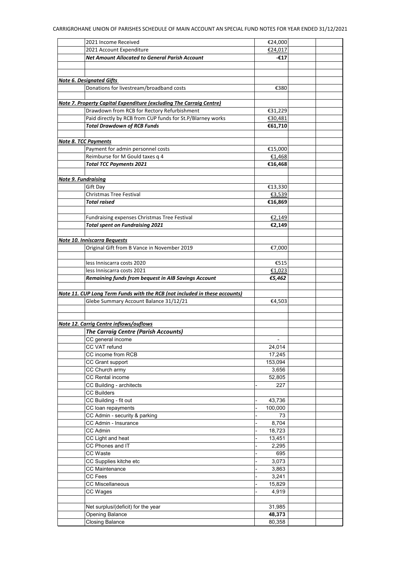| 2021 Income Received                                                       | €24,000 |  |
|----------------------------------------------------------------------------|---------|--|
| 2021 Account Expenditure                                                   | €24,017 |  |
| <b>Net Amount Allocated to General Parish Account</b>                      | -€17    |  |
|                                                                            |         |  |
|                                                                            |         |  |
| <b>Note 6. Designated Gifts</b>                                            |         |  |
| Donations for livestream/broadband costs                                   | €380    |  |
|                                                                            |         |  |
| Note 7. Property Capital Expenditure (excluding The Carraig Centre)        |         |  |
| Drawdown from RCB for Rectory Refurbishment                                | €31,229 |  |
| Paid directly by RCB from CUP funds for St.P/Blarney works                 | €30,481 |  |
| <b>Total Drawdown of RCB Funds</b>                                         | €61,710 |  |
|                                                                            |         |  |
| <b>Note 8. TCC Payments</b>                                                |         |  |
| Payment for admin personnel costs                                          | €15,000 |  |
| Reimburse for M Gould taxes q 4                                            | €1,468  |  |
| <b>Total TCC Payments 2021</b>                                             | €16,468 |  |
|                                                                            |         |  |
| <b>Note 9. Fundraising</b>                                                 |         |  |
| Gift Day                                                                   | €13,330 |  |
| <b>Christmas Tree Festival</b>                                             | €3,539  |  |
| <b>Total raised</b>                                                        | €16,869 |  |
|                                                                            |         |  |
| Fundraising expenses Christmas Tree Festival                               | €2,149  |  |
| <b>Total spent on Fundraising 2021</b>                                     | €2,149  |  |
|                                                                            |         |  |
| <b>Note 10. Inniscarra Bequests</b>                                        |         |  |
| Original Gift from B Vance in November 2019                                | €7,000  |  |
|                                                                            |         |  |
| less Inniscarra costs 2020                                                 | €515    |  |
| less Inniscarra costs 2021                                                 | €1,023  |  |
| Remaining funds from bequest in AIB Savings Account                        | €5,462  |  |
|                                                                            |         |  |
| Note 11. CUP Long Term Funds with the RCB (not included in these accounts) |         |  |
| Glebe Summary Account Balance 31/12/21                                     | €4,503  |  |
|                                                                            |         |  |
|                                                                            |         |  |
| Note 12. Carrig Centre inflows/ouflows                                     |         |  |
| <b>The Carraig Centre (Parish Accounts)</b>                                |         |  |
|                                                                            |         |  |
| CC general income                                                          |         |  |
| CC VAT refund                                                              | 24,014  |  |
| CC income from RCB                                                         | 17,245  |  |
| CC Grant support                                                           | 153,094 |  |
| CC Church army                                                             | 3,656   |  |
| <b>CC Rental income</b>                                                    | 52,805  |  |
| CC Building - architects                                                   | 227     |  |
| <b>CC Builders</b>                                                         |         |  |
| CC Building - fit out                                                      | 43,736  |  |
| CC loan repayments                                                         | 100,000 |  |
| CC Admin - security & parking                                              | 73      |  |
| CC Admin - Insurance                                                       | 8,704   |  |
| CC Admin                                                                   | 18,723  |  |
| CC Light and heat                                                          | 13,451  |  |
| CC Phones and IT                                                           | 2,295   |  |
| CC Waste                                                                   | 695     |  |
| CC Supplies kitche etc                                                     | 3,073   |  |
| <b>CC Maintenance</b>                                                      | 3,863   |  |
| CC Fees                                                                    | 3,241   |  |
| <b>CC Miscellaneous</b>                                                    | 15,829  |  |
| CC Wages                                                                   | 4,919   |  |
|                                                                            |         |  |
| Net surplus/(deficit) for the year                                         | 31,985  |  |
| Opening Balance                                                            | 48,373  |  |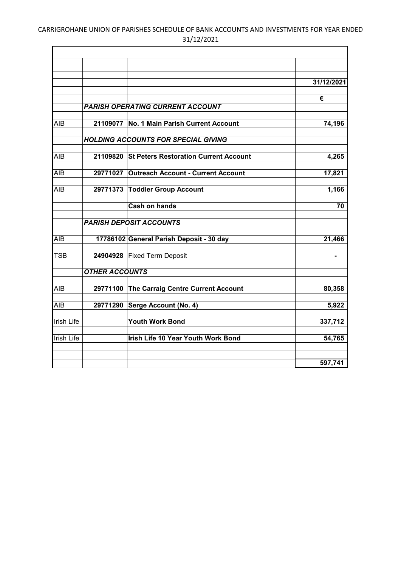### CARRIGROHANE UNION OF PARISHES SCHEDULE OF BANK ACCOUNTS AND INVESTMENTS FOR YEAR ENDED 31/12/2021

ř.

|                   |                       |                                                | 31/12/2021 |
|-------------------|-----------------------|------------------------------------------------|------------|
|                   |                       |                                                | €          |
|                   |                       | <b>PARISH OPERATING CURRENT ACCOUNT</b>        |            |
| <b>AIB</b>        | 21109077              | <b>No. 1 Main Parish Current Account</b>       | 74,196     |
|                   |                       | <b>HOLDING ACCOUNTS FOR SPECIAL GIVING</b>     |            |
| AIB               |                       | 21109820 St Peters Restoration Current Account | 4,265      |
| AIB               |                       | 29771027 Outreach Account - Current Account    | 17,821     |
| <b>AIB</b>        |                       | 29771373 Toddler Group Account                 | 1,166      |
|                   |                       | <b>Cash on hands</b>                           | 70         |
|                   |                       | <b>PARISH DEPOSIT ACCOUNTS</b>                 |            |
| <b>AIB</b>        |                       | 17786102 General Parish Deposit - 30 day       | 21,466     |
| <b>TSB</b>        |                       | 24904928 Fixed Term Deposit                    |            |
|                   | <b>OTHER ACCOUNTS</b> |                                                |            |
| <b>AIB</b>        |                       | 29771100 The Carraig Centre Current Account    | 80,358     |
| AIB               |                       | 29771290 Serge Account (No. 4)                 | 5,922      |
| <b>Irish Life</b> |                       | <b>Youth Work Bond</b>                         | 337,712    |
| <b>Irish Life</b> |                       | Irish Life 10 Year Youth Work Bond             | 54,765     |
|                   |                       |                                                |            |
|                   |                       |                                                | 597,741    |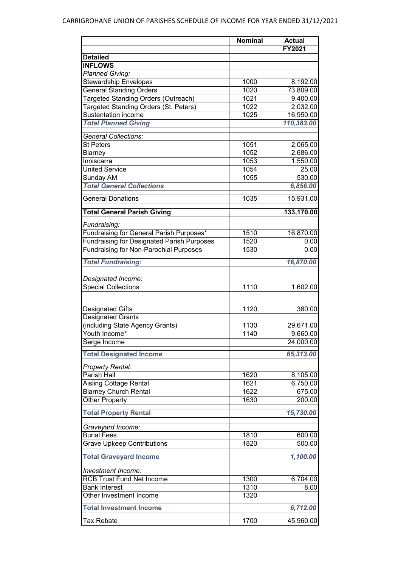|                                                   | <b>Nominal</b> | <b>Actual</b>         |
|---------------------------------------------------|----------------|-----------------------|
|                                                   |                | FY2021                |
| <b>Detailed</b>                                   |                |                       |
| <b>INFLOWS</b>                                    |                |                       |
| <b>Planned Giving:</b>                            |                |                       |
| <b>Stewardship Envelopes</b>                      | 1000           | 8,192.00              |
| <b>General Standing Orders</b>                    | 1020           | 73,809.00             |
| Targeted Standing Orders (Outreach)               | 1021           | 9,400.00              |
| Targeted Standing Orders (St. Peters)             | 1022           | 2,032.00              |
| <b>Sustentation income</b>                        | 1025           | 16,950.00             |
| <b>Total Planned Giving</b>                       |                | 110,383.00            |
|                                                   |                |                       |
| <b>General Collections:</b>                       |                |                       |
| <b>St Peters</b>                                  | 1051           | 2,065.00              |
| Blarney                                           | 1052           | 2,686.00              |
| Inniscarra                                        | 1053           | $\overline{1,}550.00$ |
| <b>United Service</b>                             | 1054           | 25.00                 |
| Sunday AM                                         | 1055           | 530.00                |
| <b>Total General Collections</b>                  |                | 6,856.00              |
| <b>General Donations</b>                          | 1035           | 15,931.00             |
| <b>Total General Parish Giving</b>                |                | 133,170.00            |
| Fundraising:                                      |                |                       |
| Fundraising for General Parish Purposes*          | 1510           | 16,870.00             |
| <b>Fundraising for Designated Parish Purposes</b> | 1520           |                       |
| <b>Fundraising for Non-Parochial Purposes</b>     | 1530           | 0.00                  |
|                                                   |                | 0.00                  |
| <b>Total Fundraising:</b>                         |                | 16,870.00             |
| Designated Income:                                |                |                       |
| <b>Special Collections</b>                        | 1110           | 1,602.00              |
|                                                   |                |                       |
| <b>Designated Gifts</b>                           | 1120           | 380.00                |
| <b>Designated Grants</b>                          |                |                       |
| (including State Agency Grants)                   | 1130           | 29,671.00             |
| Youth Income*                                     | 1140           | 9,660.00              |
|                                                   |                | 24,000.00             |
| Serge Income                                      |                |                       |
| <b>Total Designated Income</b>                    |                | 65,313.00             |
| <b>Property Rental:</b>                           |                |                       |
| Parish Hall                                       | 1620           | 8,105.00              |
| <b>Aisling Cottage Rental</b>                     | 1621           | 6,750.00              |
| <b>Blarney Church Rental</b>                      | 1622           | 675.00                |
| <b>Other Property</b>                             | 1630           | 200.00                |
| <b>Total Property Rental</b>                      |                | 15,730.00             |
|                                                   |                |                       |
| Graveyard Income:                                 |                |                       |
| <b>Burial Fees</b>                                | 1810           | 600.00                |
| <b>Grave Upkeep Contributions</b>                 | 1820           | 500.00                |
| <b>Total Graveyard Income</b>                     |                | 1,100.00              |
| Investment Income:                                |                |                       |
| <b>RCB Trust Fund Net Income</b>                  | 1300           | 6,704.00              |
| <b>Bank Interest</b>                              | 1310           | 8.00                  |
| Other Investment Income                           | 1320           |                       |
| <b>Total Investment Income</b>                    |                | 6,712.00              |
|                                                   |                |                       |
| <b>Tax Rebate</b>                                 | 1700           | 45,960.00             |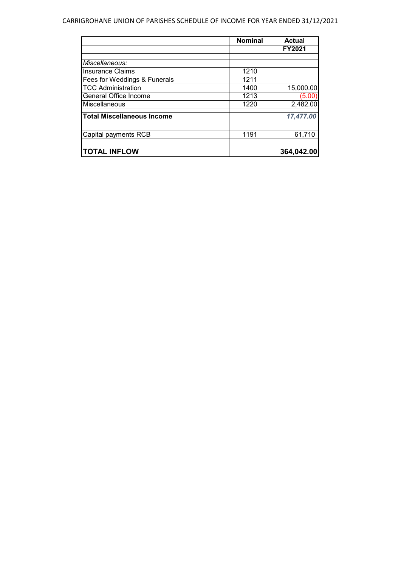#### CARRIGROHANE UNION OF PARISHES SCHEDULE OF INCOME FOR YEAR ENDED 31/12/2021

|                                   | <b>Nominal</b> | <b>Actual</b> |
|-----------------------------------|----------------|---------------|
|                                   |                | <b>FY2021</b> |
|                                   |                |               |
| Miscellaneous:                    |                |               |
| <b>Insurance Claims</b>           | 1210           |               |
| Fees for Weddings & Funerals      | 1211           |               |
| <b>TCC Administration</b>         | 1400           | 15,000.00     |
| General Office Income             | 1213           | (5.00)        |
| Miscellaneous                     | 1220           | 2,482.00      |
| <b>Total Miscellaneous Income</b> |                | 17,477.00     |
| Capital payments RCB              | 1191           | 61,710        |
| <b>TOTAL INFLOW</b>               |                | 364,042.00    |
|                                   |                |               |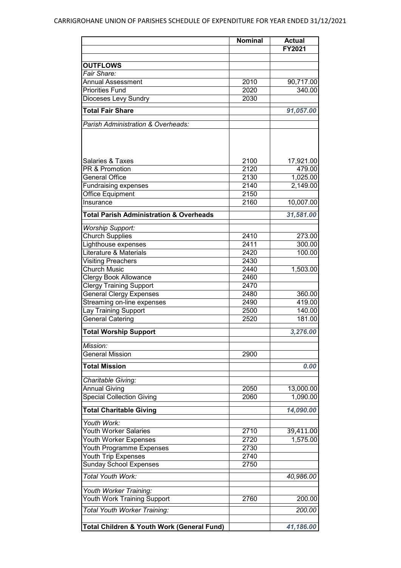|                                                       | <b>Nominal</b> | <b>Actual</b>         |
|-------------------------------------------------------|----------------|-----------------------|
|                                                       |                | FY2021                |
|                                                       |                |                       |
| <b>OUTFLOWS</b>                                       |                |                       |
| Fair Share:                                           |                |                       |
| <b>Annual Assessment</b>                              | 2010           | 90,717.00             |
| <b>Priorities Fund</b>                                | 2020           | 340.00                |
| Dioceses Levy Sundry                                  | 2030           |                       |
| <b>Total Fair Share</b>                               |                | 91,057.00             |
|                                                       |                |                       |
| Parish Administration & Overheads:                    |                |                       |
|                                                       |                |                       |
|                                                       |                |                       |
|                                                       |                |                       |
| <b>Salaries &amp; Taxes</b>                           | 2100           |                       |
| <b>PR &amp; Promotion</b>                             | 2120           | 17,921.00<br>479.00   |
|                                                       |                |                       |
| <b>General Office</b>                                 | 2130           | $\overline{1,025.00}$ |
| <b>Fundraising expenses</b>                           | 2140           | 2,149.00              |
| <b>Office Equipment</b>                               | 2150           |                       |
| Insurance                                             | 2160           | 10,007.00             |
| <b>Total Parish Administration &amp; Overheads</b>    |                | 31,581.00             |
|                                                       |                |                       |
| <b>Worship Support:</b>                               |                |                       |
| <b>Church Supplies</b>                                | 2410           | 273.00                |
| Lighthouse expenses                                   | 2411           | 300.00                |
| Literature & Materials                                | 2420           | 100.00                |
| <b>Visiting Preachers</b>                             | 2430           |                       |
| <b>Church Music</b>                                   | 2440           | 1,503.00              |
| <b>Clergy Book Allowance</b>                          | 2460           |                       |
| <b>Clergy Training Support</b>                        | 2470           |                       |
| <b>General Clergy Expenses</b>                        | 2480           | 360.00                |
| Streaming on-line expenses                            | 2490           | 419.00                |
| Lay Training Support                                  | 2500           | 140.00                |
| <b>General Catering</b>                               | 2520           | 181.00                |
|                                                       |                |                       |
| <b>Total Worship Support</b>                          |                | 3,276.00              |
| Mission:                                              |                |                       |
| <b>General Mission</b>                                | 2900           |                       |
|                                                       |                |                       |
| <b>Total Mission</b>                                  |                | 0.00                  |
| Charitable Giving:                                    |                |                       |
| <b>Annual Giving</b>                                  | 2050           | 13,000.00             |
| <b>Special Collection Giving</b>                      | 2060           | 1,090.00              |
|                                                       |                |                       |
| <b>Total Charitable Giving</b>                        |                | 14,090.00             |
|                                                       |                |                       |
| Youth Work:                                           |                |                       |
| <b>Youth Worker Salaries</b>                          | 2710           | 39,411.00             |
| Youth Worker Expenses                                 | 2720           | 1,575.00              |
| Youth Programme Expenses                              | 2730           |                       |
| <b>Youth Trip Expenses</b>                            | 2740           |                       |
| <b>Sunday School Expenses</b>                         | 2750           |                       |
| Total Youth Work:                                     |                | 40,986.00             |
|                                                       |                |                       |
| Youth Worker Training:                                |                |                       |
| Youth Work Training Support                           | 2760           | 200.00                |
| Total Youth Worker Training:                          |                | 200.00                |
|                                                       |                |                       |
| <b>Total Children &amp; Youth Work (General Fund)</b> |                | 41,186.00             |
|                                                       |                |                       |